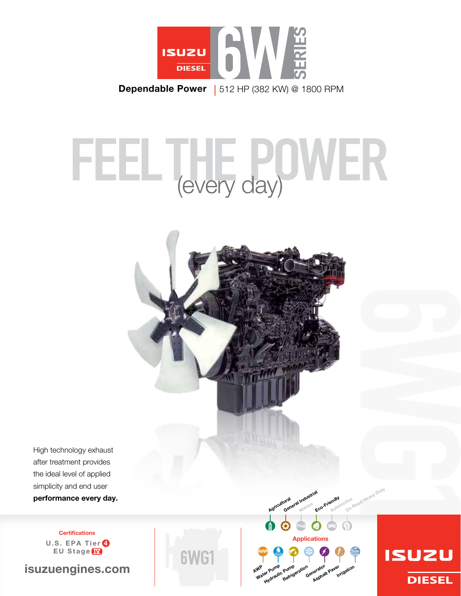

# WER (every day)



**DIESEL** 

High technology exhaust after treatment provides the ideal level of applied simplicity and end user performance every day.

> **Certifications** U.S. EPA Tier 4 EU Stage IV

isuzuengines.com